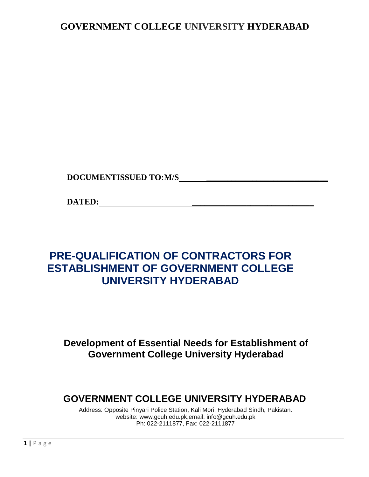## **GOVERNMENT COLLEGE UNIVERSITY HYDERABAD**

**DOCUMENTISSUED TO:M/S \_\_\_\_\_\_\_\_\_\_\_\_\_\_\_\_\_\_\_\_\_\_\_\_\_\_\_\_\_**

**DATED: \_\_\_\_\_\_\_\_\_\_\_\_\_\_\_\_\_\_\_\_\_\_\_\_\_\_\_\_\_**

## **PRE-QUALIFICATION OF CONTRACTORS FOR ESTABLISHMENT OF GOVERNMENT COLLEGE UNIVERSITY HYDERABAD**

## **Development of Essential Needs for Establishment of Government College University Hyderabad**

## **GOVERNMENT COLLEGE UNIVERSITY HYDERABAD**

Address: Opposite Pinyari Police Station, Kali Mori, Hyderabad Sindh, Pakistan. website: www.gcuh.edu.pk,email: info@gcuh.edu.pk Ph: 022-2111877, Fax: 022-2111877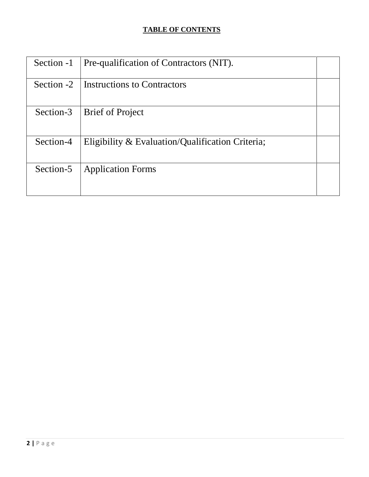## **TABLE OF CONTENTS**

| Section -1 | Pre-qualification of Contractors (NIT).          |  |
|------------|--------------------------------------------------|--|
| Section -2 | <b>Instructions to Contractors</b>               |  |
| Section-3  | <b>Brief of Project</b>                          |  |
| Section-4  | Eligibility & Evaluation/Qualification Criteria; |  |
| Section-5  | <b>Application Forms</b>                         |  |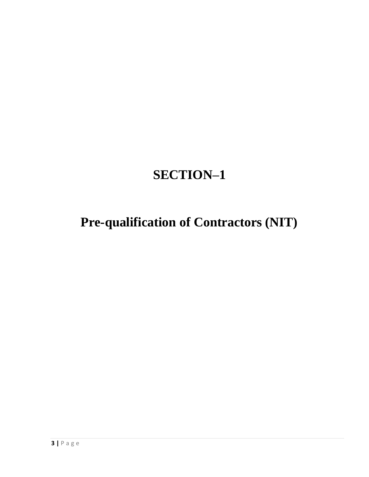# **SECTION–1**

# **Pre-qualification of Contractors (NIT)**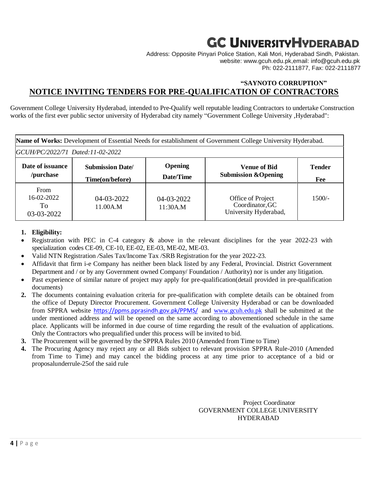# **GC UNIVERSITYHYDERABAD**

Address: Opposite Pinyari Police Station, Kali Mori, Hyderabad Sindh, Pakistan. website: www.gcuh.edu.pk,email: info@gcuh.edu.pk Ph: 022-2111877, Fax: 022-2111877

## **"SAYNOTO CORRUPTION" NOTICE INVITING TENDERS FOR PRE-QUALIFICATION OF CONTRACTORS**

Government College University Hyderabad, intended to Pre-Qualify well reputable leading Contractors to undertake Construction works of the first ever public sector university of Hyderabad city namely "Government College University ,Hyderabad":

|                                               | Name of Works: Development of Essential Needs for establishment of Government College University Hyderabad. |                             |                                                               |                      |
|-----------------------------------------------|-------------------------------------------------------------------------------------------------------------|-----------------------------|---------------------------------------------------------------|----------------------|
|                                               | GCUH/PC/2022/71 Dated:11-02-2022                                                                            |                             |                                                               |                      |
| Date of issuance<br>/purchase                 | <b>Submission Date/</b><br>Time(on/before)                                                                  | <b>Opening</b><br>Date/Time | <b>Venue of Bid</b><br><b>Submission &amp; Opening</b>        | <b>Tender</b><br>Fee |
| <b>From</b><br>16-02-2022<br>To<br>03-03-2022 | 04-03-2022<br>11.00A.M                                                                                      | 04-03-2022<br>11:30A.M      | Office of Project<br>Coordinator, GC<br>University Hyderabad, | $1500/-$             |

#### **1. Eligibility:**

- Registration with PEC in C-4 category & above in the relevant disciplines for the year 2022-23 with specialization codes CE-09, CE-10, EE-02, EE-03, ME-02, ME-03.
- Valid NTN Registration */*Sales Tax/Income Tax /SRB Registration for the year 2022-23.
- Affidavit that firm i-e Company has neither been black listed by any Federal, Provincial. District Government Department and / or by any Government owned Company/ Foundation / Authority) nor is under any litigation.
- Past experience of similar nature of project may apply for pre-qualification(detail provided in pre-qualification documents)
- **2.** The documents containing evaluation criteria for pre-qualification with complete details can be obtained from the office of Deputy Director Procurement. Government College University Hyderabad or can be downloaded from SPPRA website <https://ppms.pprasindh.gov.pk/PPMS/> and [www.gcuh.edu.pk](http://www.gcuh.edu.pk/) shall be submitted at the under mentioned address and will be opened on the same according to abovementioned schedule in the same place. Applicants will be informed in due course of time regarding the result of the evaluation of applications. Only the Contractors who prequalified under this process will be invited to bid.
- **3.** The Procurement will be governed by the SPPRA Rules 2010 (Amended from Time to Time)
- **4.** The Procuring Agency may reject any or all Bids subject to relevant provision SPPRA Rule-2010 (Amended from Time to Time) and may cancel the bidding process at any time prior to acceptance of a bid or proposalunderrule-25of the said rule

Project Coordinator GOVERNMENT COLLEGE UNIVERSITY HYDERABAD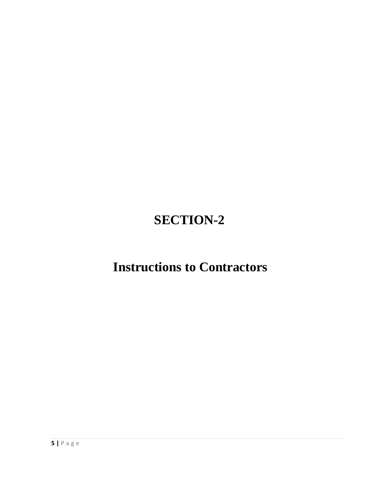# **SECTION-2**

## **Instructions to Contractors**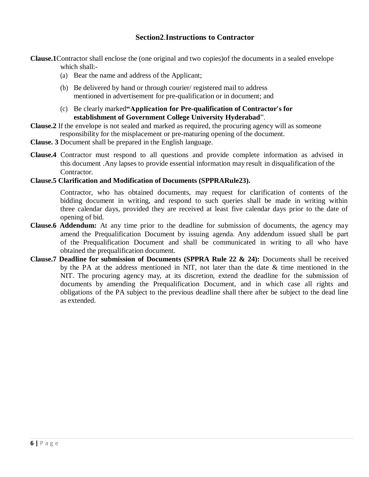### **Section2**.**Instructions to Contractor**

**Clause.1**Contractor shall enclose the (one original and two copies)of the documents in a sealed envelope which shall:-

- (a) Bear the name and address of the Applicant;
- (b) Be delivered by hand or through courier/ registered mail to address mentioned in advertisement for pre-qualification or in document; and
- (c) Be clearly marked**"Application for Pre-qualification of Contractor's for establishment of Government College University Hyderabad**".
- **Clause.2** If the envelope is not sealed and marked as required, the procuring agency will as someone responsibility for the misplacement or pre-maturing opening of the document.
- **Clause. 3** Document shall be prepared in the English language.
- **Clause.4** Contractor must respond to all questions and provide complete information as advised in this document .Any lapses to provide essential information may result in disqualification of the Contractor.

#### **Clause.5 Clarification and Modification of Documents (SPPRARule23).**

Contractor, who has obtained documents, may request for clarification of contents of the bidding document in writing, and respond to such queries shall be made in writing within three calendar days, provided they are received at least five calendar days prior to the date of opening of bid.

- **Clause.6 Addendum:** At any time prior to the deadline for submission of documents, the agency may amend the Prequalification Document by issuing agenda. Any addendum issued shall be part of the Prequalification Document and shall be communicated in writing to all who have obtained the prequalification document.
- **Clause.7 Deadline for submission of Documents (SPPRA Rule 22 & 24):** Documents shall be received by the PA at the address mentioned in NIT, not later than the date & time mentioned in the NIT. The procuring agency may, at its discretion, extend the deadline for the submission of documents by amending the Prequalification Document, and in which case all rights and obligations of the PA subject to the previous deadline shall there after be subject to the dead line as extended.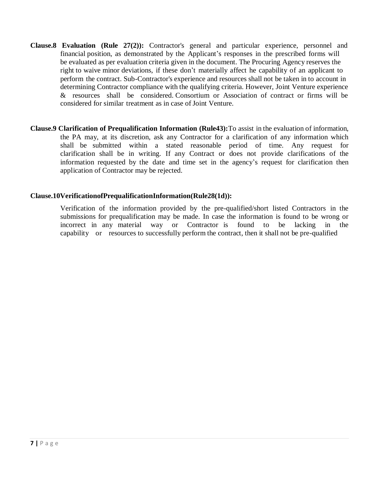- **Clause.8 Evaluation (Rule 27(2)):** Contractor's general and particular experience, personnel and financial position, as demonstrated by the Applicant's responses in the prescribed forms will be evaluated as per evaluation criteria given in the document. The Procuring Agency reserves the right to waive minor deviations, if these don't materially affect he capability of an applicant to perform the contract. Sub-Contractor's experience and resources shall not be taken in to account in determining Contractor compliance with the qualifying criteria. However, Joint Venture experience & resources shall be considered. Consortium or Association of contract or firms will be considered for similar treatment as in case of Joint Venture.
- **Clause.9 Clarification of Prequalification Information (Rule43):**To assist in the evaluation of information, the PA may, at its discretion, ask any Contractor for a clarification of any information which shall be submitted within a stated reasonable period of time. Any request for clarification shall be in writing. If any Contract or does not provide clarifications of the information requested by the date and time set in the agency's request for clarification then application of Contractor may be rejected.

### **Clause.10VerificationofPrequalificationInformation(Rule28(1d)):**

Verification of the information provided by the pre-qualified/short listed Contractors in the submissions for prequalification may be made. In case the information is found to be wrong or incorrect in any material way or Contractor is found to be lacking in the capability or resources to successfully perform the contract, then it shall not be pre-qualified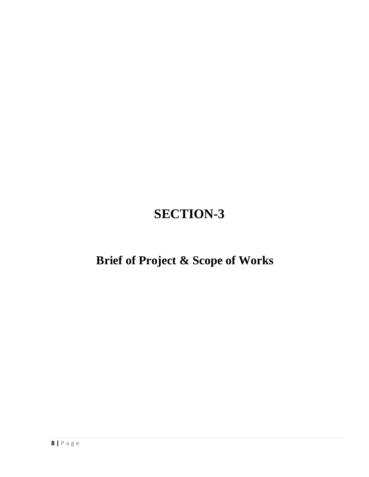# **SECTION-3**

# **Brief of Project & Scope of Works**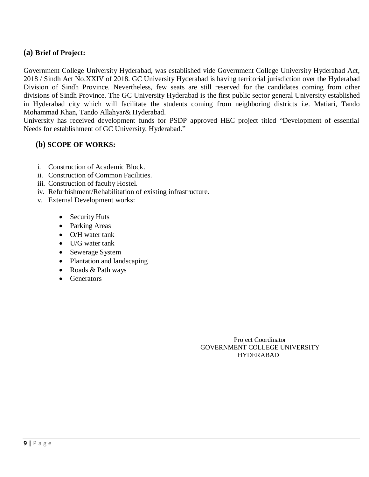### **(a) Brief of Project:**

Government College University Hyderabad, was established vide Government College University Hyderabad Act, 2018 / Sindh Act No.XXIV of 2018. GC University Hyderabad is having territorial jurisdiction over the Hyderabad Division of Sindh Province. Nevertheless, few seats are still reserved for the candidates coming from other divisions of Sindh Province. The GC University Hyderabad is the first public sector general University established in Hyderabad city which will facilitate the students coming from neighboring districts i.e. Matiari, Tando Mohammad Khan, Tando Allahyar& Hyderabad.

University has received development funds for PSDP approved HEC project titled "Development of essential Needs for establishment of GC University, Hyderabad."

### **(b) SCOPE OF WORKS:**

- i. Construction of Academic Block.
- ii. Construction of Common Facilities.
- iii. Construction of faculty Hostel.
- iv. Refurbishment/Rehabilitation of existing infrastructure.
- v. External Development works:
	- Security Huts
	- Parking Areas
	- O/H water tank
	- $\bullet$  U/G water tank
	- Sewerage System
	- Plantation and landscaping
	- Roads & Path ways
	- Generators

 Project Coordinator GOVERNMENT COLLEGE UNIVERSITY HYDERABAD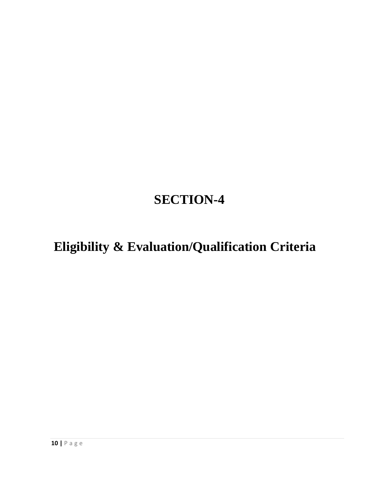# **SECTION-4**

# **Eligibility & Evaluation/Qualification Criteria**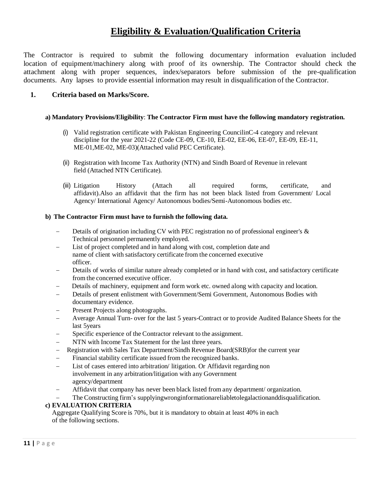## **Eligibility & Evaluation/Qualification Criteria**

The Contractor is required to submit the following documentary information evaluation included location of equipment/machinery along with proof of its ownership. The Contractor should check the attachment along with proper sequences, index/separators before submission of the pre-qualification documents. Any lapses to provide essential information may result in disqualification of the Contractor.

#### **1. Criteria based on Marks/Score.**

#### **a) Mandatory Provisions/Eligibility**: **The Contractor Firm must have the following mandatory registration.**

- (i) Valid registration certificate with Pakistan Engineering CouncilinC-4 category and relevant discipline for the year 2021-22 (Code CE-09, CE-10, EE-02, EE-06, EE-07, EE-09, EE-11, ME-01,ME-02, ME-03)(Attached valid PEC Certificate).
- (ii) Registration with Income Tax Authority (NTN) and Sindh Board of Revenue in relevant field (Attached NTN Certificate).
- (iii) Litigation History (Attach all required forms, certificate, and affidavit).Also an affidavit that the firm has not been black listed from Government/ Local Agency/ International Agency/ Autonomous bodies/Semi-Autonomous bodies etc.

#### **b) The Contractor Firm must have to furnish the following data.**

- Details of origination including CV with PEC registration no of professional engineer's & Technical personnel permanently employed.
- List of project completed and in hand along with cost, completion date and name of client with satisfactory certificate from the concerned executive officer.
- Details of works of similar nature already completed or in hand with cost, and satisfactory certificate from the concerned executive officer.
- Details of machinery, equipment and form work etc. owned along with capacity and location.
- Details of present enlistment with Government/Semi Government, Autonomous Bodies with documentary evidence.
- Present Projects along photographs.
- Average Annual Turn- over for the last 5 years-Contract or to provide Audited Balance Sheets for the last 5years
- Specific experience of the Contractor relevant to the assignment.
- NTN with Income Tax Statement for the last three years.
- Registration with Sales Tax Department/Sindh Revenue Board(SRB)for the current year
- Financial stability certificate issued from the recognized banks.
- List of cases entered into arbitration/ litigation. Or Affidavit regarding non involvement in any arbitration/litigation with any Government agency/department
- Affidavit that company has never been black listed from any department/ organization.

The Constructing firm's supplyingwronginformationareliabletolegalactionanddisqualification.

#### **c) EVALUATION CRITERIA**

Aggregate Qualifying Score is 70%, but it is mandatory to obtain at least 40% in each of the following sections.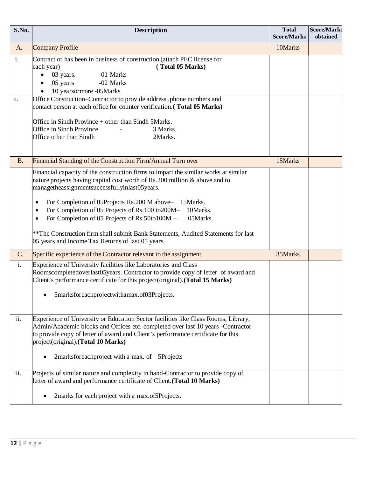| S.No.                 | <b>Description</b><br><b>Total</b><br><b>Score/Marks</b>                                                                                                                                                                                                                                                                                                                                                                                                                                                                                                                   |         |  |
|-----------------------|----------------------------------------------------------------------------------------------------------------------------------------------------------------------------------------------------------------------------------------------------------------------------------------------------------------------------------------------------------------------------------------------------------------------------------------------------------------------------------------------------------------------------------------------------------------------------|---------|--|
| A.                    | <b>Company Profile</b>                                                                                                                                                                                                                                                                                                                                                                                                                                                                                                                                                     | 10Marks |  |
| $\mathbf{i}$ .<br>ii. | Contract or has been in business of construction (attach PEC license for<br>(Total 05 Marks)<br>each year)<br>03 years.<br>-01 Marks<br>$\bullet$<br>05 years<br>-02 Marks<br>10 yearsormore -05Marks<br>Office Construction-Contractor to provide address ,phone numbers and                                                                                                                                                                                                                                                                                              |         |  |
|                       | contact person at each office for counter verification. (Total 05 Marks)<br>Office in Sindh Province + other than Sindh 5Marks.<br>Office in Sindh Province<br>3 Marks.<br>Office other than Sindh<br>2Marks.                                                                                                                                                                                                                                                                                                                                                              |         |  |
| <b>B.</b>             | Financial Standing of the Construction Firm/Annual Turn over                                                                                                                                                                                                                                                                                                                                                                                                                                                                                                               | 15Marks |  |
|                       | Financial capacity of the construction firms to impart the similar works at similar<br>nature projects having capital cost worth of Rs.200 million & above and to<br>managetheassignmentsuccessfullyinlast05years.<br>For Completion of 05Projects Rs.200 M above- 15Marks.<br>٠<br>For Completion of 05 Projects of Rs.100 to200M-<br>10Marks.<br>٠<br>For Completion of 05 Projects of Rs.50to100M -<br>05Marks.<br>$\bullet$<br>** The Construction firm shall submit Bank Statements, Audited Statements for last<br>05 years and Income Tax Returns of last 05 years. |         |  |
| $C$ .                 | Specific experience of the Contractor relevant to the assignment                                                                                                                                                                                                                                                                                                                                                                                                                                                                                                           | 35Marks |  |
| i.                    | Experience of University facilities like Laboratories and Class<br>Roomscompletedoverlast05years. Contractor to provide copy of letter of award and<br>Client's performance certificate for this project(original).(Total 15 Marks)<br>• 5marksforeachprojectwithamax.of03Projects.                                                                                                                                                                                                                                                                                        |         |  |
| ii.                   | Experience of University or Education Sector facilities like Class Rooms, Library,<br>Admin/Academic blocks and Offices etc. completed over last 10 years -Contractor<br>to provide copy of letter of award and Client's performance certificate for this<br>project(original).(Total 10 Marks)<br>2marksforeachproject with a max. of 5Projects                                                                                                                                                                                                                           |         |  |
| iii.                  | Projects of similar nature and complexity in hand-Contractor to provide copy of<br>letter of award and performance certificate of Client. (Total 10 Marks)                                                                                                                                                                                                                                                                                                                                                                                                                 |         |  |
|                       | 2marks for each project with a max.of5Projects.                                                                                                                                                                                                                                                                                                                                                                                                                                                                                                                            |         |  |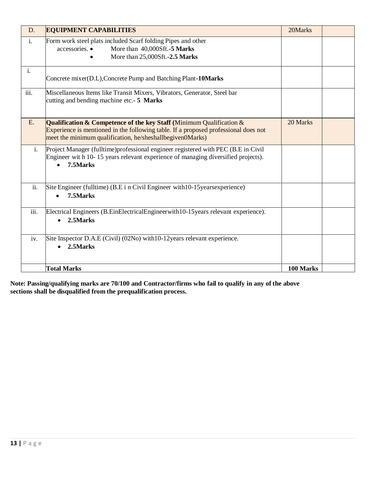| D.             | <b>EQUIPMENT CAPABILITIES</b>                                                                                                                                                                                                  | 20Marks   |  |
|----------------|--------------------------------------------------------------------------------------------------------------------------------------------------------------------------------------------------------------------------------|-----------|--|
| $\mathbf{i}$ . | Form work steel plats included Scarf folding Pipes and other<br>accessories. •<br>More than 40,000Sft.-5 Marks<br>More than 25,000Sft.-2.5 Marks                                                                               |           |  |
| $\mathbf{i}$ . | Concrete mixer(D.L), Concrete Pump and Batching Plant-10Marks                                                                                                                                                                  |           |  |
| iii.           | Miscellaneous Items like Transit Mixers, Vibrators, Generator, Steel bar<br>cutting and bending machine etc.- 5 Marks                                                                                                          |           |  |
| E.             | Qualification $\&$ Competence of the key Staff (Minimum Qualification $\&$<br>Experience is mentioned in the following table. If a proposed professional does not<br>meet the minimum qualification, he/sheshallbegiven0Marks) | 20 Marks  |  |
| $i$ .          | Project Manager (fulltime) professional engineer registered with PEC (B.E in Civil<br>Engineer wit h 10-15 years relevant experience of managing diversified projects).<br>7.5Marks                                            |           |  |
| ii.            | Site Engineer (fulltime) (B.E i n Civil Engineer with 10-15 years experience)<br>7.5Marks                                                                                                                                      |           |  |
| iii.           | Electrical Engineers (B.EinElectricalEngineerwith10-15years relevant experience).<br>2.5Marks<br>$\bullet$                                                                                                                     |           |  |
| iv.            | Site Inspector D.A.E (Civil) (02No) with 10-12 years relevant experience.<br>2.5Marks                                                                                                                                          |           |  |
|                | <b>Total Marks</b>                                                                                                                                                                                                             | 100 Marks |  |

**Note: Passing/qualifying marks are 70/100 and Contractor/firms who fail to qualify in any of the above sections shall be disqualified from the prequalification process.**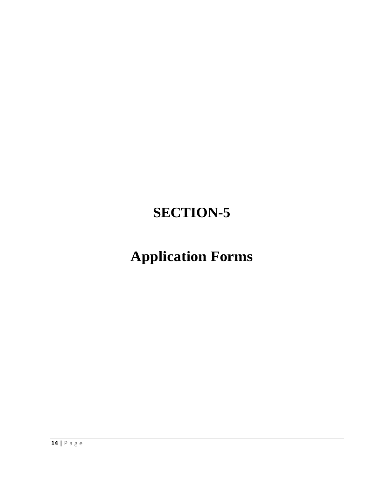# **SECTION-5**

# **Application Forms**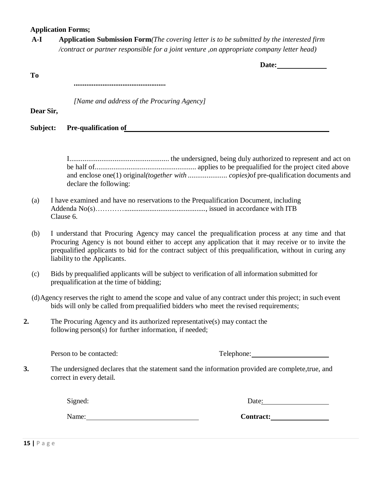#### **Application Forms;**

**A-I Application Submission Form***(The covering letter is to be submitted by the interested firm /contract or partner responsible for a joint venture ,on appropriate company letter head)*

**Date:**

**To**

**...................................................**

*[Name and address of the Procuring Agency]*

**Dear Sir,**

**Subject: Pre-qualification of**

I..................................................... the undersigned, being duly authorized to represent and act on be half of...................................................... applies to be prequalified for the project cited above and enclose one(1) original*(together with ..................... copies)*of pre-qualification documents and declare the following:

- (a) I have examined and have no reservations to the Prequalification Document, including Addenda No(s)…………............................................., issued in accordance with ITB Clause 6.
- (b) I understand that Procuring Agency may cancel the prequalification process at any time and that Procuring Agency is not bound either to accept any application that it may receive or to invite the prequalified applicants to bid for the contract subject of this prequalification, without in curing any liability to the Applicants.
- (c) Bids by prequalified applicants will be subject to verification of all information submitted for prequalification at the time of bidding;
- (d)Agency reserves the right to amend the scope and value of any contract under this project; in such event bids will only be called from prequalified bidders who meet the revised requirements;
- **2.** The Procuring Agency and its authorized representative(s) may contact the following person(s) for further information, if needed;

Person to be contacted: Telephone:

**3.** The undersigned declares that the statement sand the information provided are complete,true, and correct in every detail.

Signed:

Name:

Date:

| <b>Contract:</b> |  |
|------------------|--|
|                  |  |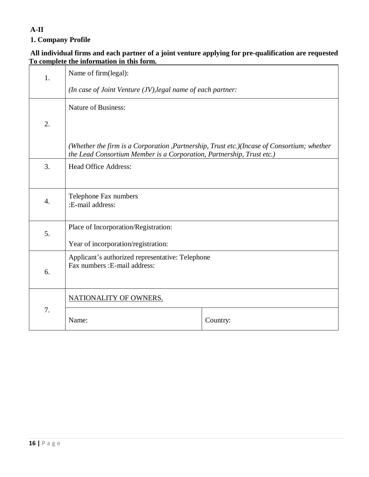## **A-II**

## **1. Company Profile**

### **All individual firms and each partner of a joint venture applying for pre-qualification are requested To complete the information in this form.**

| 1.                                                                                | Name of firm(legal):                                                                                                                                                |          |  |
|-----------------------------------------------------------------------------------|---------------------------------------------------------------------------------------------------------------------------------------------------------------------|----------|--|
|                                                                                   | (In case of Joint Venture $(JV)$ , legal name of each partner:                                                                                                      |          |  |
|                                                                                   | <b>Nature of Business:</b>                                                                                                                                          |          |  |
| 2.                                                                                |                                                                                                                                                                     |          |  |
|                                                                                   | (Whether the firm is a Corporation ,Partnership, Trust etc.)(Incase of Consortium; whether<br>the Lead Consortium Member is a Corporation, Partnership, Trust etc.) |          |  |
| 3.                                                                                | <b>Head Office Address:</b>                                                                                                                                         |          |  |
| $\overline{4}$ .                                                                  | Telephone Fax numbers<br>:E-mail address:                                                                                                                           |          |  |
| Place of Incorporation/Registration:<br>5.<br>Year of incorporation/registration: |                                                                                                                                                                     |          |  |
| 6.                                                                                | Applicant's authorized representative: Telephone<br>Fax numbers : E-mail address:                                                                                   |          |  |
|                                                                                   | NATIONALITY OF OWNERS.                                                                                                                                              |          |  |
| 7.                                                                                | Name:                                                                                                                                                               | Country: |  |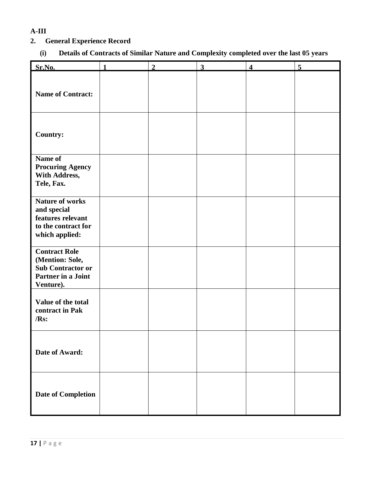## **A-III**

## **2. General Experience Record**

## **(i) Details of Contracts of Similar Nature and Complexity completed over the last 05 years**

| Sr.No.                                                                                                 | 1 | $\overline{2}$ | $\mathbf{3}$ | $\overline{\mathbf{4}}$ | 5 |
|--------------------------------------------------------------------------------------------------------|---|----------------|--------------|-------------------------|---|
| <b>Name of Contract:</b>                                                                               |   |                |              |                         |   |
| <b>Country:</b>                                                                                        |   |                |              |                         |   |
| Name of<br><b>Procuring Agency</b><br>With Address,<br>Tele, Fax.                                      |   |                |              |                         |   |
| <b>Nature of works</b><br>and special<br>features relevant<br>to the contract for<br>which applied:    |   |                |              |                         |   |
| <b>Contract Role</b><br>(Mention: Sole,<br><b>Sub Contractor or</b><br>Partner in a Joint<br>Venture). |   |                |              |                         |   |
| Value of the total<br>contract in Pak<br>/Rs:                                                          |   |                |              |                         |   |
| Date of Award:                                                                                         |   |                |              |                         |   |
| <b>Date of Completion</b>                                                                              |   |                |              |                         |   |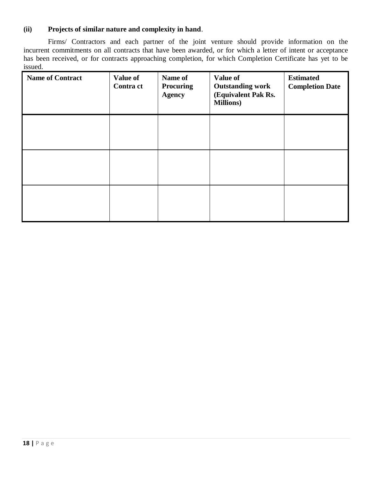### **(ii) Projects of similar nature and complexity in hand**.

Firms/ Contractors and each partner of the joint venture should provide information on the incurrent commitments on all contracts that have been awarded, or for which a letter of intent or acceptance has been received, or for contracts approaching completion, for which Completion Certificate has yet to be issued.

| <b>Name of Contract</b> | <b>Value of</b><br><b>Contra ct</b> | Name of<br><b>Procuring</b><br><b>Agency</b> | <b>Value of</b><br><b>Outstanding work</b><br>(Equivalent Pak Rs.<br><b>Millions</b> ) | <b>Estimated</b><br><b>Completion Date</b> |
|-------------------------|-------------------------------------|----------------------------------------------|----------------------------------------------------------------------------------------|--------------------------------------------|
|                         |                                     |                                              |                                                                                        |                                            |
|                         |                                     |                                              |                                                                                        |                                            |
|                         |                                     |                                              |                                                                                        |                                            |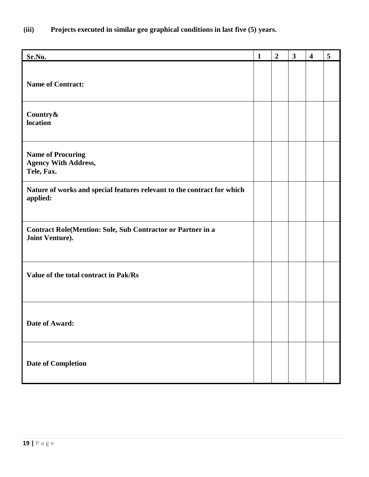**(iii) Projects executed in similar geo graphical conditions in last five (5) years.**

| Sr.No.                                                                                | $\mathbf{1}$ | $\overline{2}$ | $\mathbf{3}$ | $\overline{\mathbf{4}}$ | 5 |
|---------------------------------------------------------------------------------------|--------------|----------------|--------------|-------------------------|---|
| <b>Name of Contract:</b>                                                              |              |                |              |                         |   |
| Country&<br>location                                                                  |              |                |              |                         |   |
| <b>Name of Procuring</b><br><b>Agency With Address,</b><br>Tele, Fax.                 |              |                |              |                         |   |
| Nature of works and special features relevant to the contract for which<br>applied:   |              |                |              |                         |   |
| <b>Contract Role(Mention: Sole, Sub Contractor or Partner in a</b><br>Joint Venture). |              |                |              |                         |   |
| Value of the total contract in Pak/Rs                                                 |              |                |              |                         |   |
| Date of Award:                                                                        |              |                |              |                         |   |
| Date of Completion                                                                    |              |                |              |                         |   |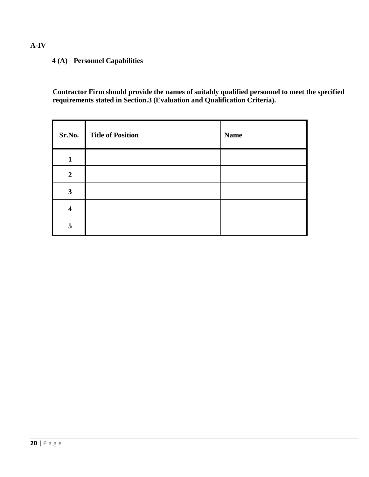## **(A) Personnel Capabilities**

**Contractor Firm should provide the names of suitably qualified personnel to meet the specified requirements stated in Section.3 (Evaluation and Qualification Criteria).**

| Sr.No.                  | <b>Title of Position</b> | <b>Name</b> |
|-------------------------|--------------------------|-------------|
| $\mathbf{1}$            |                          |             |
| $\overline{2}$          |                          |             |
| 3                       |                          |             |
| $\overline{\mathbf{4}}$ |                          |             |
| 5                       |                          |             |

### **A-IV**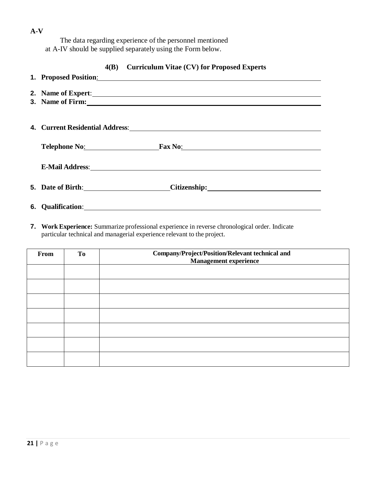The data regarding experience of the personnel mentioned at A-IV should be supplied separately using the Form below.

### **4(B) Curriculum Vitae (CV) for Proposed Experts**

|                                                                                                                                                                                                                                | 2. Name of Expert:            |
|--------------------------------------------------------------------------------------------------------------------------------------------------------------------------------------------------------------------------------|-------------------------------|
|                                                                                                                                                                                                                                | 3. Name of Firm:              |
|                                                                                                                                                                                                                                |                               |
|                                                                                                                                                                                                                                |                               |
|                                                                                                                                                                                                                                |                               |
|                                                                                                                                                                                                                                |                               |
|                                                                                                                                                                                                                                | Telephone No: Fax No: Fax No: |
|                                                                                                                                                                                                                                |                               |
|                                                                                                                                                                                                                                |                               |
| E-Mail Address: Universe of the Second Second Second Second Second Second Second Second Second Second Second Second Second Second Second Second Second Second Second Second Second Second Second Second Second Second Second S |                               |
|                                                                                                                                                                                                                                |                               |
| 5. Date of Birth: 1998                                                                                                                                                                                                         |                               |
|                                                                                                                                                                                                                                |                               |
| <b>6.</b> Oualification:                                                                                                                                                                                                       |                               |

**7. Work Experience:** Summarize professional experience in reverse chronological order. Indicate particular technical and managerial experience relevant to the project.

| From | <b>To</b> | Company/Project/Position/Relevant technical and<br>Management experience |
|------|-----------|--------------------------------------------------------------------------|
|      |           |                                                                          |
|      |           |                                                                          |
|      |           |                                                                          |
|      |           |                                                                          |
|      |           |                                                                          |
|      |           |                                                                          |
|      |           |                                                                          |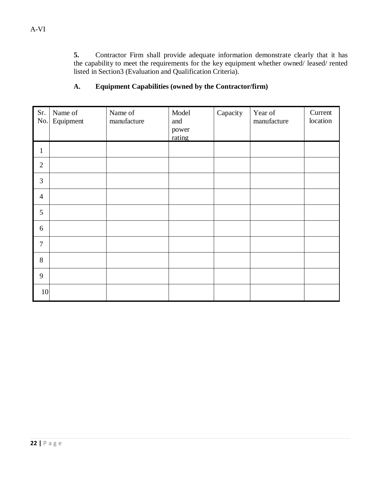**5.** Contractor Firm shall provide adequate information demonstrate clearly that it has the capability to meet the requirements for the key equipment whether owned/ leased/ rented listed in Section3 (Evaluation and Qualification Criteria).

## **A. Equipment Capabilities (owned by the Contractor/firm)**

| Sr.<br>No.     | Name of<br>Equipment | Name of<br>manufacture | Model<br>and<br>power<br>rating | Capacity | Year of<br>manufacture | Current<br>location |
|----------------|----------------------|------------------------|---------------------------------|----------|------------------------|---------------------|
| 1              |                      |                        |                                 |          |                        |                     |
| $\overline{2}$ |                      |                        |                                 |          |                        |                     |
| 3              |                      |                        |                                 |          |                        |                     |
| $\overline{4}$ |                      |                        |                                 |          |                        |                     |
| 5              |                      |                        |                                 |          |                        |                     |
| 6              |                      |                        |                                 |          |                        |                     |
| $\overline{7}$ |                      |                        |                                 |          |                        |                     |
| 8              |                      |                        |                                 |          |                        |                     |
| 9              |                      |                        |                                 |          |                        |                     |
| 10             |                      |                        |                                 |          |                        |                     |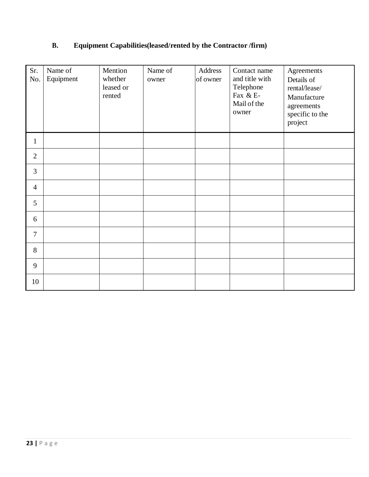## **B. Equipment Capabilities(leased/rented by the Contractor /firm)**

| Sr.<br>No.     | Name of<br>Equipment | Mention<br>whether<br>leased or<br>rented | Name of<br>owner | Address<br>of owner | Contact name<br>and title with<br>Telephone<br>Fax & E-<br>Mail of the<br>owner | Agreements<br>Details of<br>rental/lease/<br>Manufacture<br>agreements<br>specific to the<br>project |
|----------------|----------------------|-------------------------------------------|------------------|---------------------|---------------------------------------------------------------------------------|------------------------------------------------------------------------------------------------------|
| $\mathbf{1}$   |                      |                                           |                  |                     |                                                                                 |                                                                                                      |
| $\overline{2}$ |                      |                                           |                  |                     |                                                                                 |                                                                                                      |
| 3              |                      |                                           |                  |                     |                                                                                 |                                                                                                      |
| $\overline{4}$ |                      |                                           |                  |                     |                                                                                 |                                                                                                      |
| 5              |                      |                                           |                  |                     |                                                                                 |                                                                                                      |
| 6              |                      |                                           |                  |                     |                                                                                 |                                                                                                      |
| $\overline{7}$ |                      |                                           |                  |                     |                                                                                 |                                                                                                      |
| 8              |                      |                                           |                  |                     |                                                                                 |                                                                                                      |
| 9              |                      |                                           |                  |                     |                                                                                 |                                                                                                      |
| 10             |                      |                                           |                  |                     |                                                                                 |                                                                                                      |